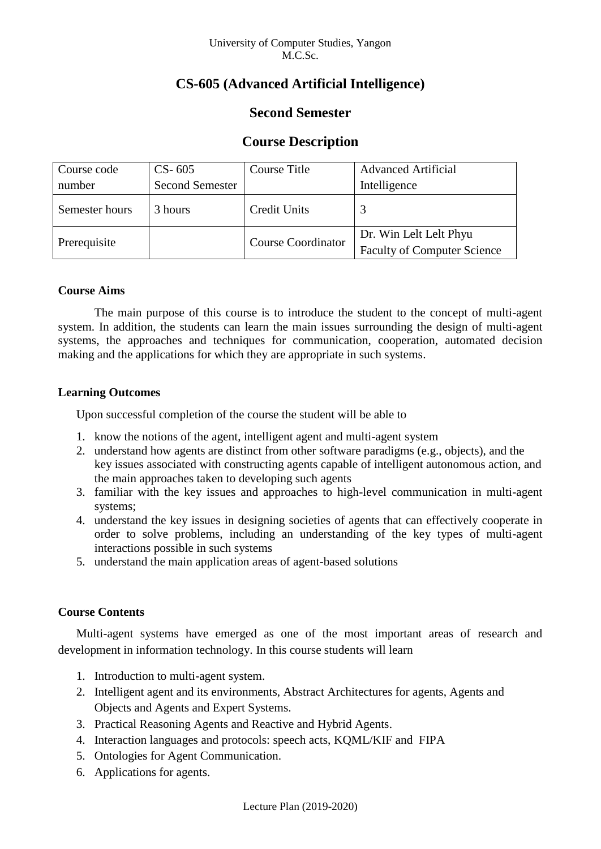# **CS-605 (Advanced Artificial Intelligence)**

# **Second Semester**

# **Course Description**

| Course code    | $CS-605$               | Course Title              | <b>Advanced Artificial</b>                                   |  |
|----------------|------------------------|---------------------------|--------------------------------------------------------------|--|
| number         | <b>Second Semester</b> |                           | Intelligence                                                 |  |
| Semester hours | 3 hours                | Credit Units              |                                                              |  |
| Prerequisite   |                        | <b>Course Coordinator</b> | Dr. Win Lelt Lelt Phyu<br><b>Faculty of Computer Science</b> |  |

# **Course Aims**

The main purpose of this course is to introduce the student to the concept of multi-agent system. In addition, the students can learn the main issues surrounding the design of multi-agent systems, the approaches and techniques for communication, cooperation, automated decision making and the applications for which they are appropriate in such systems.

## **Learning Outcomes**

Upon successful completion of the course the student will be able to

- 1. know the notions of the agent, intelligent agent and multi-agent system
- 2. understand how agents are distinct from other software paradigms (e.g., objects), and the key issues associated with constructing agents capable of intelligent autonomous action, and the main approaches taken to developing such agents
- 3. familiar with the key issues and approaches to high-level communication in multi-agent systems;
- 4. understand the key issues in designing societies of agents that can effectively cooperate in order to solve problems, including an understanding of the key types of multi-agent interactions possible in such systems
- 5. understand the main application areas of agent-based solutions

# **Course Contents**

Multi-agent systems have emerged as one of the most important areas of research and development in information technology. In this course students will learn

- 1. Introduction to multi-agent system.
- 2. Intelligent agent and its environments, Abstract Architectures for agents, Agents and Objects and Agents and Expert Systems.
- 3. Practical Reasoning Agents and Reactive and Hybrid Agents.
- 4. Interaction languages and protocols: speech acts, KQML/KIF and FIPA
- 5. Ontologies for Agent Communication.
- 6. Applications for agents.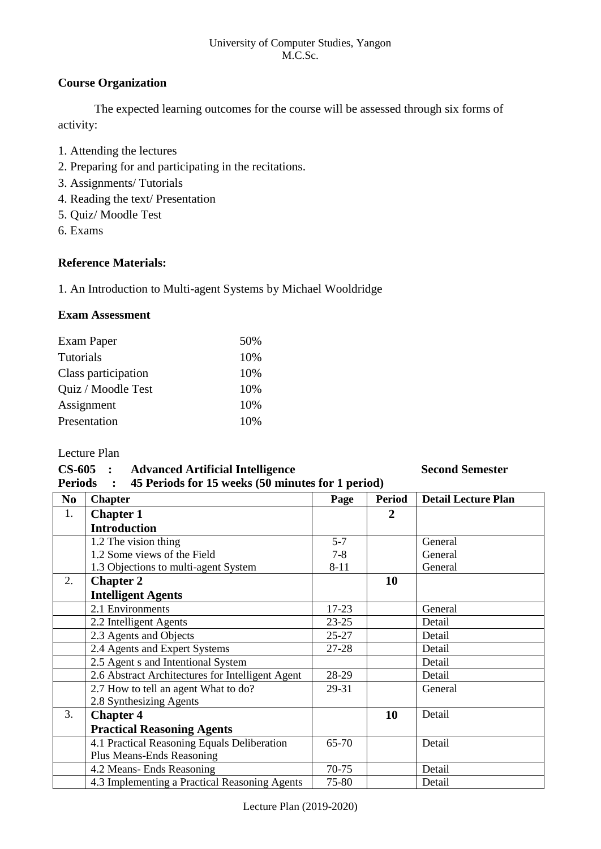#### University of Computer Studies, Yangon M.C.Sc.

# **Course Organization**

The expected learning outcomes for the course will be assessed through six forms of activity:

- 1. Attending the lectures
- 2. Preparing for and participating in the recitations.
- 3. Assignments/ Tutorials
- 4. Reading the text/ Presentation
- 5. Quiz/ Moodle Test
- 6. Exams

## **Reference Materials:**

1. An Introduction to Multi-agent Systems by Michael Wooldridge

### **Exam Assessment**

| Exam Paper          | 50% |
|---------------------|-----|
| Tutorials           | 10% |
| Class participation | 10% |
| Quiz / Moodle Test  | 10% |
| Assignment          | 10% |
| Presentation        | 10% |

### Lecture Plan

### **CS-605 : Advanced Artificial Intelligence Second Semester Periods : 45 Periods for 15 weeks (50 minutes for 1 period)**

| I CLIVUS       |                                                  |           |                |                            |  |  |  |
|----------------|--------------------------------------------------|-----------|----------------|----------------------------|--|--|--|
| N <sub>0</sub> | <b>Chapter</b>                                   | Page      | <b>Period</b>  | <b>Detail Lecture Plan</b> |  |  |  |
| 1.             | <b>Chapter 1</b>                                 |           | $\overline{2}$ |                            |  |  |  |
|                | <b>Introduction</b>                              |           |                |                            |  |  |  |
|                | 1.2 The vision thing                             | $5 - 7$   |                | General                    |  |  |  |
|                | 1.2 Some views of the Field                      | $7 - 8$   |                | General                    |  |  |  |
|                | 1.3 Objections to multi-agent System             | $8 - 11$  |                | General                    |  |  |  |
| 2.             | <b>Chapter 2</b>                                 |           | 10             |                            |  |  |  |
|                | <b>Intelligent Agents</b>                        |           |                |                            |  |  |  |
|                | 2.1 Environments                                 | $17 - 23$ |                | General                    |  |  |  |
|                | 2.2 Intelligent Agents                           | $23 - 25$ |                | Detail                     |  |  |  |
|                | 2.3 Agents and Objects                           | $25 - 27$ |                | Detail                     |  |  |  |
|                | 2.4 Agents and Expert Systems                    | 27-28     |                | Detail                     |  |  |  |
|                | 2.5 Agent s and Intentional System               |           |                | Detail                     |  |  |  |
|                | 2.6 Abstract Architectures for Intelligent Agent | 28-29     |                | Detail                     |  |  |  |
|                | 2.7 How to tell an agent What to do?             | 29-31     |                | General                    |  |  |  |
|                | 2.8 Synthesizing Agents                          |           |                |                            |  |  |  |
| 3.             | <b>Chapter 4</b>                                 |           | 10             | Detail                     |  |  |  |
|                | <b>Practical Reasoning Agents</b>                |           |                |                            |  |  |  |
|                | 4.1 Practical Reasoning Equals Deliberation      | 65-70     |                | Detail                     |  |  |  |
|                | Plus Means-Ends Reasoning                        |           |                |                            |  |  |  |
|                | 4.2 Means- Ends Reasoning                        | 70-75     |                | Detail                     |  |  |  |
|                | 4.3 Implementing a Practical Reasoning Agents    | 75-80     |                | Detail                     |  |  |  |